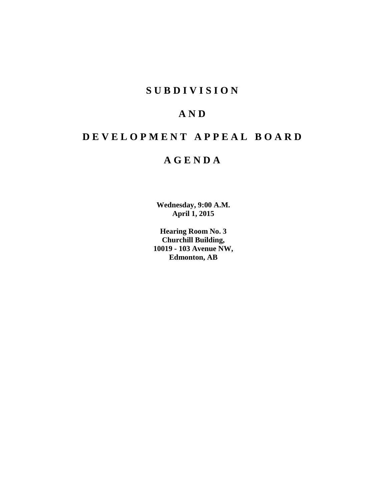## **S U B D I V I S I O N**

# **A N D**

# **D E V E L O P M E N T A P P E A L B O A R D**

## **A G E N D A**

**Wednesday, 9:00 A.M. April 1, 2015**

**Hearing Room No. 3 Churchill Building, 10019 - 103 Avenue NW, Edmonton, AB**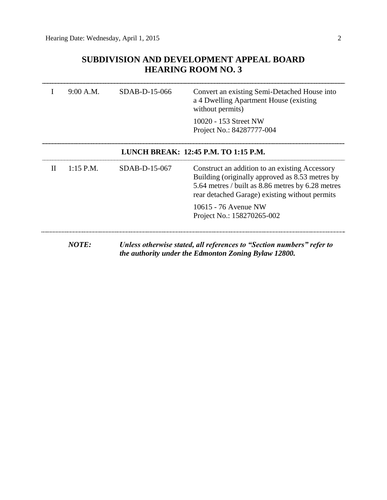## **SUBDIVISION AND DEVELOPMENT APPEAL BOARD HEARING ROOM NO. 3**

|   | 9:00 A.M.    | $SDAB-D-15-066$ | Convert an existing Semi-Detached House into<br>a 4 Dwelling Apartment House (existing<br>without permits)                                                                                               |
|---|--------------|-----------------|----------------------------------------------------------------------------------------------------------------------------------------------------------------------------------------------------------|
|   |              |                 | 10020 - 153 Street NW<br>Project No.: 84287777-004                                                                                                                                                       |
|   |              |                 | LUNCH BREAK: 12:45 P.M. TO 1:15 P.M.                                                                                                                                                                     |
| П | $1:15$ P.M.  | SDAB-D-15-067   | Construct an addition to an existing Accessory<br>Building (originally approved as 8.53 metres by<br>5.64 metres / built as 8.86 metres by 6.28 metres<br>rear detached Garage) existing without permits |
|   |              |                 | 10615 - 76 Avenue NW<br>Project No.: 158270265-002                                                                                                                                                       |
|   | <b>NOTE:</b> |                 | Unless otherwise stated, all references to "Section numbers" refer to<br>the authority under the Edmonton Zoning Bylaw 12800.                                                                            |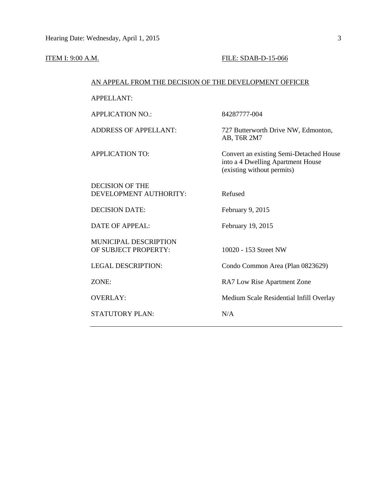#### **ITEM I: 9:00 A.M. FILE: SDAB-D-15-066**

#### AN APPEAL FROM THE DECISION OF THE DEVELOPMENT OFFICER

APPELLANT:

APPLICATION NO.: 84287777-004

ADDRESS OF APPELLANT: 727 Butterworth Drive NW, Edmonton, AB, T6R 2M7

APPLICATION TO: Convert an existing Semi-Detached House into a 4 Dwelling Apartment House (existing without permits)

DECISION OF THE DEVELOPMENT AUTHORITY: Refused

DECISION DATE: February 9, 2015

DATE OF APPEAL: February 19, 2015

MUNICIPAL DESCRIPTION OF SUBJECT PROPERTY: 10020 - 153 Street NW

STATUTORY PLAN: N/A

LEGAL DESCRIPTION: Condo Common Area (Plan 0823629)

ZONE: RA7 Low Rise Apartment Zone

OVERLAY: Medium Scale Residential Infill Overlay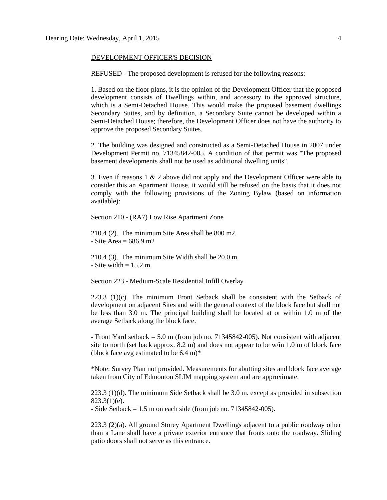#### DEVELOPMENT OFFICER'S DECISION

REFUSED - The proposed development is refused for the following reasons:

1. Based on the floor plans, it is the opinion of the Development Officer that the proposed development consists of Dwellings within, and accessory to the approved structure, which is a Semi-Detached House. This would make the proposed basement dwellings Secondary Suites, and by definition, a Secondary Suite cannot be developed within a Semi-Detached House; therefore, the Development Officer does not have the authority to approve the proposed Secondary Suites.

2. The building was designed and constructed as a Semi-Detached House in 2007 under Development Permit no. 71345842-005. A condition of that permit was "The proposed basement developments shall not be used as additional dwelling units".

3. Even if reasons 1 & 2 above did not apply and the Development Officer were able to consider this an Apartment House, it would still be refused on the basis that it does not comply with the following provisions of the Zoning Bylaw (based on information available):

Section 210 - (RA7) Low Rise Apartment Zone

210.4 (2). The minimum Site Area shall be 800 m2.  $-$  Site Area = 686.9 m2

210.4 (3). The minimum Site Width shall be 20.0 m.  $-$  Site width  $= 15.2$  m

Section 223 - Medium-Scale Residential Infill Overlay

223.3 (1)(c). The minimum Front Setback shall be consistent with the Setback of development on adjacent Sites and with the general context of the block face but shall not be less than 3.0 m. The principal building shall be located at or within 1.0 m of the average Setback along the block face.

- Front Yard setback = 5.0 m (from job no. 71345842-005). Not consistent with adjacent site to north (set back approx.  $8.2 \text{ m}$ ) and does not appear to be w/in 1.0 m of block face (block face avg estimated to be  $6.4 \text{ m}$ )\*

\*Note: Survey Plan not provided. Measurements for abutting sites and block face average taken from City of Edmonton SLIM mapping system and are approximate.

223.3 (1)(d). The minimum Side Setback shall be 3.0 m. except as provided in subsection  $823.3(1)(e)$ .

 $-$  Side Setback  $= 1.5$  m on each side (from job no. 71345842-005).

223.3 (2)(a). All ground Storey Apartment Dwellings adjacent to a public roadway other than a Lane shall have a private exterior entrance that fronts onto the roadway. Sliding patio doors shall not serve as this entrance.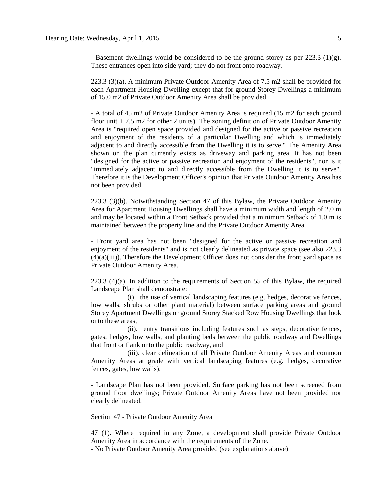- Basement dwellings would be considered to be the ground storey as per 223.3 (1)(g). These entrances open into side yard; they do not front onto roadway.

223.3 (3)(a). A minimum Private Outdoor Amenity Area of 7.5 m2 shall be provided for each Apartment Housing Dwelling except that for ground Storey Dwellings a minimum of 15.0 m2 of Private Outdoor Amenity Area shall be provided.

- A total of 45 m2 of Private Outdoor Amenity Area is required (15 m2 for each ground floor unit + 7.5 m2 for other 2 units). The zoning definition of Private Outdoor Amenity Area is "required open space provided and designed for the active or passive recreation and enjoyment of the residents of a particular Dwelling and which is immediately adjacent to and directly accessible from the Dwelling it is to serve." The Amenity Area shown on the plan currently exists as driveway and parking area. It has not been "designed for the active or passive recreation and enjoyment of the residents", nor is it "immediately adjacent to and directly accessible from the Dwelling it is to serve". Therefore it is the Development Officer's opinion that Private Outdoor Amenity Area has not been provided.

223.3 (3)(b). Notwithstanding Section 47 of this Bylaw, the Private Outdoor Amenity Area for Apartment Housing Dwellings shall have a minimum width and length of 2.0 m and may be located within a Front Setback provided that a minimum Setback of 1.0 m is maintained between the property line and the Private Outdoor Amenity Area.

- Front yard area has not been "designed for the active or passive recreation and enjoyment of the residents" and is not clearly delineated as private space (see also 223.3 (4)(a)(iii)). Therefore the Development Officer does not consider the front yard space as Private Outdoor Amenity Area.

223.3 (4)(a). In addition to the requirements of Section 55 of this Bylaw, the required Landscape Plan shall demonstrate:

 (i). the use of vertical landscaping features (e.g. hedges, decorative fences, low walls, shrubs or other plant material) between surface parking areas and ground Storey Apartment Dwellings or ground Storey Stacked Row Housing Dwellings that look onto these areas,

 (ii). entry transitions including features such as steps, decorative fences, gates, hedges, low walls, and planting beds between the public roadway and Dwellings that front or flank onto the public roadway, and

 (iii). clear delineation of all Private Outdoor Amenity Areas and common Amenity Areas at grade with vertical landscaping features (e.g. hedges, decorative fences, gates, low walls).

- Landscape Plan has not been provided. Surface parking has not been screened from ground floor dwellings; Private Outdoor Amenity Areas have not been provided nor clearly delineated.

Section 47 - Private Outdoor Amenity Area

47 (1). Where required in any Zone, a development shall provide Private Outdoor Amenity Area in accordance with the requirements of the Zone.

- No Private Outdoor Amenity Area provided (see explanations above)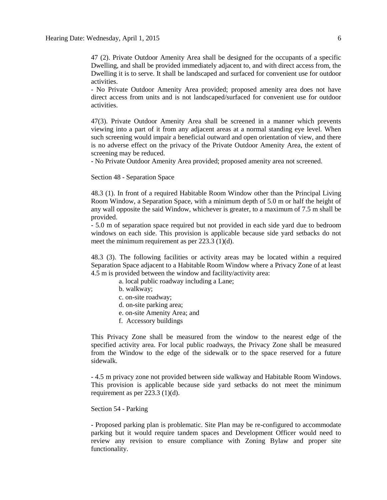47 (2). Private Outdoor Amenity Area shall be designed for the occupants of a specific Dwelling, and shall be provided immediately adjacent to, and with direct access from, the Dwelling it is to serve. It shall be landscaped and surfaced for convenient use for outdoor activities.

- No Private Outdoor Amenity Area provided; proposed amenity area does not have direct access from units and is not landscaped/surfaced for convenient use for outdoor activities.

47(3). Private Outdoor Amenity Area shall be screened in a manner which prevents viewing into a part of it from any adjacent areas at a normal standing eye level. When such screening would impair a beneficial outward and open orientation of view, and there is no adverse effect on the privacy of the Private Outdoor Amenity Area, the extent of screening may be reduced.

- No Private Outdoor Amenity Area provided; proposed amenity area not screened.

Section 48 - Separation Space

48.3 (1). In front of a required Habitable Room Window other than the Principal Living Room Window, a Separation Space, with a minimum depth of 5.0 m or half the height of any wall opposite the said Window, whichever is greater, to a maximum of 7.5 m shall be provided.

- 5.0 m of separation space required but not provided in each side yard due to bedroom windows on each side. This provision is applicable because side yard setbacks do not meet the minimum requirement as per 223.3 (1)(d).

48.3 (3). The following facilities or activity areas may be located within a required Separation Space adjacent to a Habitable Room Window where a Privacy Zone of at least 4.5 m is provided between the window and facility/activity area:

a. local public roadway including a Lane;

- b. walkway;
- c. on-site roadway;
- d. on-site parking area;
- e. on-site Amenity Area; and
- f. Accessory buildings

This Privacy Zone shall be measured from the window to the nearest edge of the specified activity area. For local public roadways, the Privacy Zone shall be measured from the Window to the edge of the sidewalk or to the space reserved for a future sidewalk.

- 4.5 m privacy zone not provided between side walkway and Habitable Room Windows. This provision is applicable because side yard setbacks do not meet the minimum requirement as per  $223.3$  (1)(d).

#### Section 54 - Parking

- Proposed parking plan is problematic. Site Plan may be re-configured to accommodate parking but it would require tandem spaces and Development Officer would need to review any revision to ensure compliance with Zoning Bylaw and proper site functionality.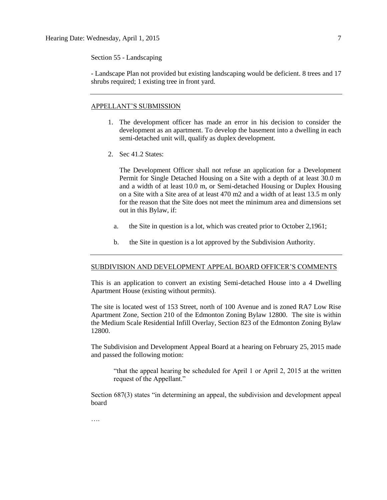Section 55 - Landscaping

- Landscape Plan not provided but existing landscaping would be deficient. 8 trees and 17 shrubs required; 1 existing tree in front yard.

#### APPELLANT'S SUBMISSION

- 1. The development officer has made an error in his decision to consider the development as an apartment. To develop the basement into a dwelling in each semi-detached unit will, qualify as duplex development.
- 2. Sec 41.2 States:

The Development Officer shall not refuse an application for a Development Permit for Single Detached Housing on a Site with a depth of at least 30.0 m and a width of at least 10.0 m, or Semi-detached Housing or Duplex Housing on a Site with a Site area of at least 470 m2 and a width of at least 13.5 m only for the reason that the Site does not meet the minimum area and dimensions set out in this Bylaw, if:

- a. the Site in question is a lot, which was created prior to October 2,1961;
- b. the Site in question is a lot approved by the Subdivision Authority.

#### SUBDIVISION AND DEVELOPMENT APPEAL BOARD OFFICER'S COMMENTS

This is an application to convert an existing Semi-detached House into a 4 Dwelling Apartment House (existing without permits).

The site is located west of 153 Street, north of 100 Avenue and is zoned RA7 Low Rise Apartment Zone, Section 210 of the Edmonton Zoning Bylaw 12800. The site is within the Medium Scale Residential Infill Overlay, Section 823 of the Edmonton Zoning Bylaw 12800.

The Subdivision and Development Appeal Board at a hearing on February 25, 2015 made and passed the following motion:

"that the appeal hearing be scheduled for April 1 or April 2, 2015 at the written request of the Appellant."

Section 687(3) states "in determining an appeal, the subdivision and development appeal board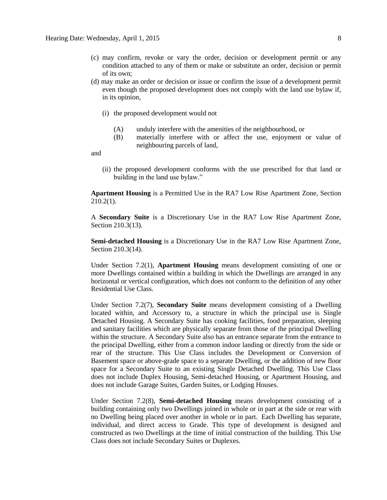- (c) may confirm, revoke or vary the order, decision or development permit or any condition attached to any of them or make or substitute an order, decision or permit of its own;
- (d) may make an order or decision or issue or confirm the issue of a development permit even though the proposed development does not comply with the land use bylaw if, in its opinion,
	- (i) the proposed development would not
		- (A) unduly interfere with the amenities of the neighbourhood, or
		- (B) materially interfere with or affect the use, enjoyment or value of neighbouring parcels of land,

and

(ii) the proposed development conforms with the use prescribed for that land or building in the land use bylaw."

**Apartment Housing** is a Permitted Use in the RA7 Low Rise Apartment Zone, Section 210.2(1).

A **Secondary Suite** is a Discretionary Use in the RA7 Low Rise Apartment Zone, Section 210.3(13).

**Semi-detached Housing** is a Discretionary Use in the RA7 Low Rise Apartment Zone, Section 210.3(14).

Under Section 7.2(1), **Apartment Housing** means development consisting of one or more Dwellings contained within a building in which the Dwellings are arranged in any horizontal or vertical configuration, which does not conform to the definition of any other Residential Use Class.

Under Section 7.2(7), **Secondary Suite** means development consisting of a Dwelling located within, and Accessory to, a structure in which the principal use is Single Detached Housing. A Secondary Suite has cooking facilities, food preparation, sleeping and sanitary facilities which are physically separate from those of the principal Dwelling within the structure. A Secondary Suite also has an entrance separate from the entrance to the principal Dwelling, either from a common indoor landing or directly from the side or rear of the structure. This Use Class includes the Development or Conversion of Basement space or above-grade space to a separate Dwelling, or the addition of new floor space for a Secondary Suite to an existing Single Detached Dwelling. This Use Class does not include Duplex Housing, Semi-detached Housing, or Apartment Housing, and does not include Garage Suites, Garden Suites, or Lodging Houses.

Under Section 7.2(8), **Semi-detached Housing** means development consisting of a building containing only two Dwellings joined in whole or in part at the side or rear with no Dwelling being placed over another in whole or in part. Each Dwelling has separate, individual, and direct access to Grade. This type of development is designed and constructed as two Dwellings at the time of initial construction of the building. This Use Class does not include Secondary Suites or Duplexes.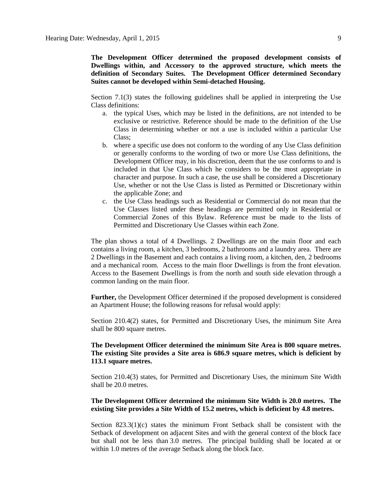**The Development Officer determined the proposed development consists of Dwellings within, and Accessory to the approved structure, which meets the definition of Secondary Suites. The Development Officer determined Secondary Suites cannot be developed within Semi-detached Housing.**

Section 7.1(3) states the following guidelines shall be applied in interpreting the Use Class definitions:

- a. the typical Uses, which may be listed in the definitions, are not intended to be exclusive or restrictive. Reference should be made to the definition of the Use Class in determining whether or not a use is included within a particular Use Class;
- b. where a specific use does not conform to the wording of any Use Class definition or generally conforms to the wording of two or more Use Class definitions, the Development Officer may, in his discretion, deem that the use conforms to and is included in that Use Class which he considers to be the most appropriate in character and purpose. In such a case, the use shall be considered a Discretionary Use, whether or not the Use Class is listed as Permitted or Discretionary within the applicable Zone; and
- c. the Use Class headings such as Residential or Commercial do not mean that the Use Classes listed under these headings are permitted only in Residential or Commercial Zones of this Bylaw. Reference must be made to the lists of Permitted and Discretionary Use Classes within each Zone.

The plan shows a total of 4 Dwellings. 2 Dwellings are on the main floor and each contains a living room, a kitchen, 3 bedrooms, 2 bathrooms and a laundry area. There are 2 Dwellings in the Basement and each contains a living room, a kitchen, den, 2 bedrooms and a mechanical room. Access to the main floor Dwellings is from the front elevation. Access to the Basement Dwellings is from the north and south side elevation through a common landing on the main floor.

**Further,** the Development Officer determined if the proposed development is considered an Apartment House; the following reasons for refusal would apply:

Section 210.4(2) states, for Permitted and Discretionary Uses, the minimum Site Area shall be 800 square metres.

#### **The Development Officer determined the minimum Site Area is 800 square metres. The existing Site provides a Site area is 686.9 square metres, which is deficient by 113.1 square metres.**

Section 210.4(3) states, for Permitted and Discretionary Uses, the minimum Site Width shall be 20.0 metres.

#### **The Development Officer determined the minimum Site Width is 20.0 metres. The existing Site provides a Site Width of 15.2 metres, which is deficient by 4.8 metres.**

Section 823.3(1)(c) states the minimum Front Setback shall be consistent with the Setback of development on adjacent Sites and with the general context of the block face but shall not be less than [3.0 me](javascript:void(0);)tres. The principal building shall be located at or within [1.0 me](javascript:void(0);)tres of the average Setback along the block face.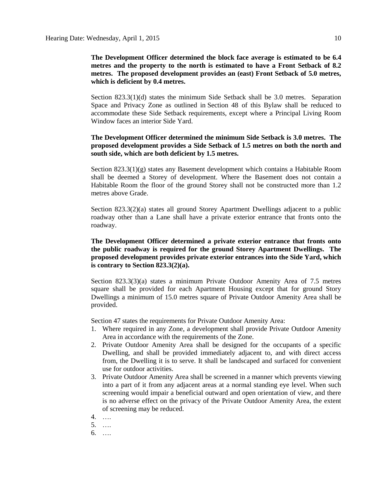Section 823.3(1)(d) states the minimum Side Setback shall be 3.0 metres. Separation Space and Privacy Zone as outlined in [Section 48](http://webdocs.edmonton.ca/zoningbylaw/ZoningBylaw/Part1/Development/48__Separation_Space.htm) of this Bylaw shall be reduced to accommodate these Side Setback requirements, except where a Principal Living Room Window faces an interior Side Yard.

## **The Development Officer determined the minimum Side Setback is 3.0 metres. The proposed development provides a Side Setback of 1.5 metres on both the north and south side, which are both deficient by 1.5 metres.**

Section 823.3(1)(g) states any Basement development which contains a Habitable Room shall be deemed a Storey of development. Where the Basement does not contain a Habitable Room the floor of the ground Storey shall not be constructed more than 1.2 metres above Grade.

Section 823.3(2)(a) states all ground Storey Apartment Dwellings adjacent to a public roadway other than a Lane shall have a private exterior entrance that fronts onto the roadway.

## **The Development Officer determined a private exterior entrance that fronts onto the public roadway is required for the ground Storey Apartment Dwellings. The proposed development provides private exterior entrances into the Side Yard, which is contrary to Section 823.3(2)(a).**

Section 823.3(3)(a) states a minimum Private Outdoor Amenity Area of 7.5 metres square shall be provided for each Apartment Housing except that for ground Story Dwellings a minimum of 15.0 metres square of Private Outdoor Amenity Area shall be provided.

Section 47 states the requirements for Private Outdoor Amenity Area:

- 1. Where required in any Zone, a development shall provide Private Outdoor Amenity Area in accordance with the requirements of the Zone.
- 2. Private Outdoor Amenity Area shall be designed for the occupants of a specific Dwelling, and shall be provided immediately adjacent to, and with direct access from, the Dwelling it is to serve. It shall be landscaped and surfaced for convenient use for outdoor activities.
- 3. Private Outdoor Amenity Area shall be screened in a manner which prevents viewing into a part of it from any adjacent areas at a normal standing eye level. When such screening would impair a beneficial outward and open orientation of view, and there is no adverse effect on the privacy of the Private Outdoor Amenity Area, the extent of screening may be reduced.
- 4. ….
- 5. ….
- 6. ….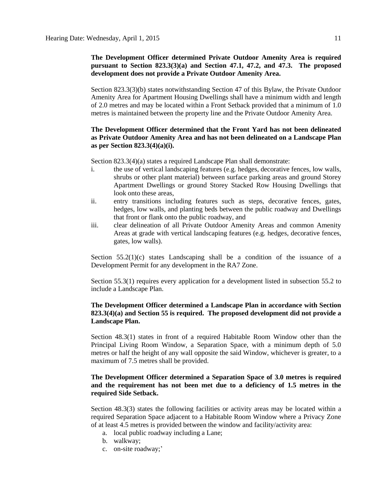## **The Development Officer determined Private Outdoor Amenity Area is required pursuant to Section 823.3(3)(a) and Section 47.1, 47.2, and 47.3. The proposed development does not provide a Private Outdoor Amenity Area.**

Section 823.3(3)(b) states notwithstanding Section 47 of this Bylaw, the Private Outdoor Amenity Area for Apartment Housing Dwellings shall have a minimum width and length of 2.0 metres and may be located within a Front Setback provided that a minimum of 1.0 metres is maintained between the property line and the Private Outdoor Amenity Area.

## **The Development Officer determined that the Front Yard has not been delineated as Private Outdoor Amenity Area and has not been delineated on a Landscape Plan as per Section 823.3(4)(a)(i).**

Section 823.3(4)(a) states a required Landscape Plan shall demonstrate:

- i. the use of vertical landscaping features (e.g. hedges, decorative fences, low walls, shrubs or other plant material) between surface parking areas and ground Storey Apartment Dwellings or ground Storey Stacked Row Housing Dwellings that look onto these areas,
- ii. entry transitions including features such as steps, decorative fences, gates, hedges, low walls, and planting beds between the public roadway and Dwellings that front or flank onto the public roadway, and
- iii. clear delineation of all Private Outdoor Amenity Areas and common Amenity Areas at grade with vertical landscaping features (e.g. hedges, decorative fences, gates, low walls).

Section  $55.2(1)(c)$  states Landscaping shall be a condition of the issuance of a Development Permit for any development in the RA7 Zone.

Section 55.3(1) requires every application for a development listed in subsection 55.2 to include a Landscape Plan.

## **The Development Officer determined a Landscape Plan in accordance with Section 823.3(4)(a) and Section 55 is required. The proposed development did not provide a Landscape Plan.**

Section 48.3(1) states in front of a required Habitable Room Window other than the Principal Living Room Window, a Separation Space, with a minimum depth of 5.0 metres or half the height of any wall opposite the said Window, whichever is greater, to a maximum of 7.5 metres shall be provided.

### **The Development Officer determined a Separation Space of 3.0 metres is required and the requirement has not been met due to a deficiency of 1.5 metres in the required Side Setback.**

Section 48.3(3) states the following facilities or activity areas may be located within a required Separation Space adjacent to a Habitable Room Window where a Privacy Zone of at least 4.5 metres is provided between the window and facility/activity area:

- a. local public roadway including a Lane;
- b. walkway;
- c. on-site roadway;'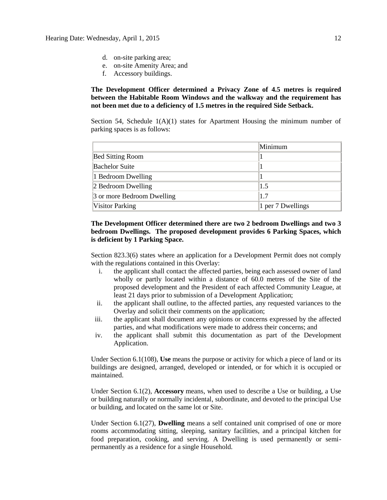- d. on-site parking area;
- e. on-site Amenity Area; and
- f. Accessory buildings.

### **The Development Officer determined a Privacy Zone of 4.5 metres is required between the Habitable Room Windows and the walkway and the requirement has not been met due to a deficiency of 1.5 metres in the required Side Setback.**

Section 54, Schedule  $1(A)(1)$  states for Apartment Housing the minimum number of parking spaces is as follows:

|                                   | Minimum           |
|-----------------------------------|-------------------|
| <b>Bed Sitting Room</b>           |                   |
| <b>Bachelor Suite</b>             |                   |
| 1 Bedroom Dwelling                |                   |
| 2 Bedroom Dwelling                | 1.5               |
| 1.7<br>3 or more Bedroom Dwelling |                   |
| <b>Visitor Parking</b>            | 1 per 7 Dwellings |

### **The Development Officer determined there are two 2 bedroom Dwellings and two 3 bedroom Dwellings. The proposed development provides 6 Parking Spaces, which is deficient by 1 Parking Space.**

Section 823.3(6) states where an application for a Development Permit does not comply with the regulations contained in this Overlay:

- i. the applicant shall contact the affected parties, being each assessed owner of land wholly or partly located within a distance of 60.0 metres of the Site of the proposed development and the President of each affected Community League, at least 21 days prior to submission of a Development Application;
- ii. the applicant shall outline, to the affected parties, any requested variances to the Overlay and solicit their comments on the application;
- iii. the applicant shall document any opinions or concerns expressed by the affected parties, and what modifications were made to address their concerns; and
- iv. the applicant shall submit this documentation as part of the Development Application.

Under Section 6.1(108), **Use** means the purpose or activity for which a piece of land or its buildings are designed, arranged, developed or intended, or for which it is occupied or maintained.

Under Section 6.1(2), **Accessory** means, when used to describe a Use or building, a Use or building naturally or normally incidental, subordinate, and devoted to the principal Use or building, and located on the same lot or Site.

Under Section 6.1(27), **Dwelling** means a self contained unit comprised of one or more rooms accommodating sitting, sleeping, sanitary facilities, and a principal kitchen for food preparation, cooking, and serving. A Dwelling is used permanently or semipermanently as a residence for a single Household.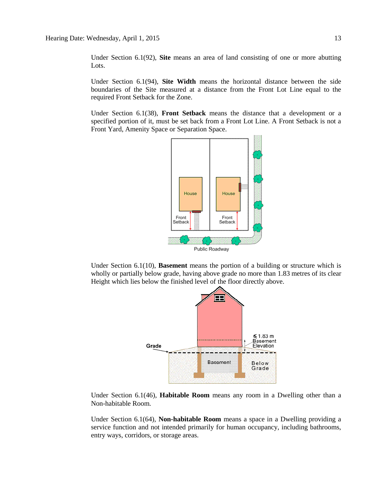Under Section 6.1(92), **Site** means an area of land consisting of one or more abutting Lots.

Under Section 6.1(94), **Site Width** means the horizontal distance between the side boundaries of the Site measured at a distance from the Front Lot Line equal to the required Front Setback for the Zone.

Under Section 6.1(38), **Front Setback** means the distance that a development or a specified portion of it, must be set back from a Front Lot Line. A Front Setback is not a Front Yard, Amenity Space or Separation Space.



Under Section 6.1(10), **Basement** means the portion of a building or structure which is wholly or partially below grade, having above grade no more than [1.83](javascript:void(0);) metres of its clear Height which lies below the finished level of the floor directly above.



Under Section 6.1(46), **Habitable Room** means any room in a Dwelling other than a Non-habitable Room.

Under Section 6.1(64), **Non-habitable Room** means a space in a Dwelling providing a service function and not intended primarily for human occupancy, including bathrooms, entry ways, corridors, or storage areas.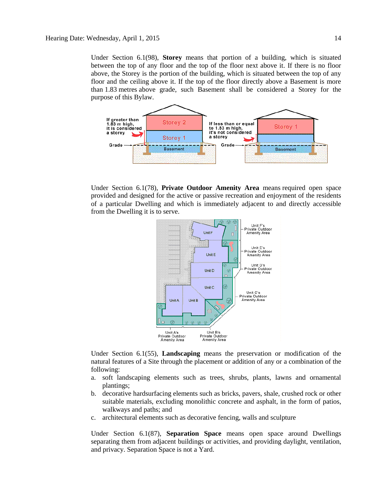Under Section 6.1(98), **Storey** means that portion of a building, which is situated between the top of any floor and the top of the floor next above it. If there is no floor above, the Storey is the portion of the building, which is situated between the top of any floor and the ceiling above it. If the top of the floor directly above a Basement is more than [1.83](javascript:void(0);) metres above grade, such Basement shall be considered a Storey for the purpose of this Bylaw.



Under Section 6.1(78), **Private Outdoor Amenity Area** means required open space provided and designed for the active or passive recreation and enjoyment of the residents of a particular Dwelling and which is immediately adjacent to and directly accessible from the Dwelling it is to serve.



Under Section 6.1(55), **Landscaping** means the preservation or modification of the natural features of a Site through the placement or addition of any or a combination of the following:

- a. soft landscaping elements such as trees, shrubs, plants, lawns and ornamental plantings;
- b. decorative hardsurfacing elements such as bricks, pavers, shale, crushed rock or other suitable materials, excluding monolithic concrete and asphalt, in the form of patios, walkways and paths; and
- c. architectural elements such as decorative fencing, walls and sculpture

Under Section 6.1(87), **Separation Space** means open space around Dwellings separating them from adjacent buildings or activities, and providing daylight, ventilation, and privacy. Separation Space is not a Yard.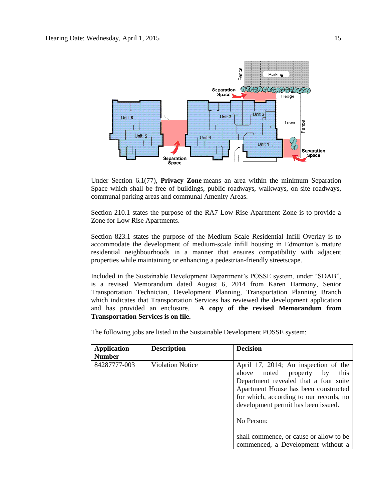

Under Section 6.1(77), **Privacy Zone** means an area within the minimum Separation Space which shall be free of buildings, public roadways, walkways, on-site roadways, communal parking areas and communal Amenity Areas.

Section 210.1 states the purpose of the RA7 Low Rise Apartment Zone is to provide a Zone for Low Rise Apartments.

Section 823.1 states the purpose of the Medium Scale Residential Infill Overlay is to accommodate the development of medium-scale infill housing in Edmonton's mature residential neighbourhoods in a manner that ensures compatibility with adjacent properties while maintaining or enhancing a pedestrian-friendly streetscape.

Included in the Sustainable Development Department's POSSE system, under "SDAB", is a revised Memorandum dated August 6, 2014 from Karen Harmony, Senior Transportation Technician, Development Planning, Transportation Planning Branch which indicates that Transportation Services has reviewed the development application and has provided an enclosure. **A copy of the revised Memorandum from Transportation Services is on file.**

The following jobs are listed in the Sustainable Development POSSE system:

| <b>Application</b> | <b>Description</b>      | <b>Decision</b>                                                                                                                                                                                                                                                                                                                                 |
|--------------------|-------------------------|-------------------------------------------------------------------------------------------------------------------------------------------------------------------------------------------------------------------------------------------------------------------------------------------------------------------------------------------------|
| <b>Number</b>      |                         |                                                                                                                                                                                                                                                                                                                                                 |
| 84287777-003       | <b>Violation Notice</b> | April 17, 2014; An inspection of the<br>noted property<br>this<br>above<br>by<br>Department revealed that a four suite<br>Apartment House has been constructed<br>for which, according to our records, no<br>development permit has been issued.<br>No Person:<br>shall commence, or cause or allow to be<br>commenced, a Development without a |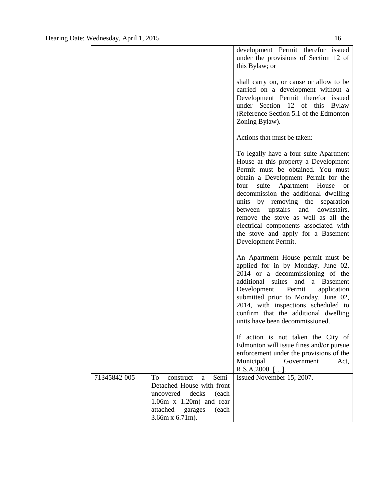|              |                                                                                                                                                                                       | development Permit therefor issued<br>under the provisions of Section 12 of<br>this Bylaw; or                                                                                                                                                                                                                                                                                                                                                                           |
|--------------|---------------------------------------------------------------------------------------------------------------------------------------------------------------------------------------|-------------------------------------------------------------------------------------------------------------------------------------------------------------------------------------------------------------------------------------------------------------------------------------------------------------------------------------------------------------------------------------------------------------------------------------------------------------------------|
|              |                                                                                                                                                                                       | shall carry on, or cause or allow to be<br>carried on a development without a<br>Development Permit therefor issued<br>under Section 12 of this Bylaw<br>(Reference Section 5.1 of the Edmonton)<br>Zoning Bylaw).                                                                                                                                                                                                                                                      |
|              |                                                                                                                                                                                       | Actions that must be taken:                                                                                                                                                                                                                                                                                                                                                                                                                                             |
|              |                                                                                                                                                                                       | To legally have a four suite Apartment<br>House at this property a Development<br>Permit must be obtained. You must<br>obtain a Development Permit for the<br>suite Apartment House<br>four<br>or<br>decommission the additional dwelling<br>by removing the<br>units<br>separation<br>between upstairs and<br>downstairs,<br>remove the stove as well as all the<br>electrical components associated with<br>the stove and apply for a Basement<br>Development Permit. |
|              |                                                                                                                                                                                       | An Apartment House permit must be<br>applied for in by Monday, June 02,<br>2014 or a decommissioning of the<br>additional suites<br>and<br><b>Basement</b><br>a a<br>Development Permit<br>application<br>submitted prior to Monday, June 02,<br>2014, with inspections scheduled to<br>confirm that the additional dwelling<br>units have been decommissioned.                                                                                                         |
|              |                                                                                                                                                                                       | If action is not taken the City of<br>Edmonton will issue fines and/or pursue<br>enforcement under the provisions of the<br>Municipal<br>Government<br>Act.<br>$R.S.A.2000.$ [].                                                                                                                                                                                                                                                                                        |
| 71345842-005 | Semi-<br>To<br>construct<br>a<br>Detached House with front<br>uncovered<br>decks<br>(each<br>$1.06m \times 1.20m$ and rear<br>attached<br>garages<br>(each<br>$3.66m \times 6.71m$ ). | Issued November 15, 2007.                                                                                                                                                                                                                                                                                                                                                                                                                                               |
|              |                                                                                                                                                                                       |                                                                                                                                                                                                                                                                                                                                                                                                                                                                         |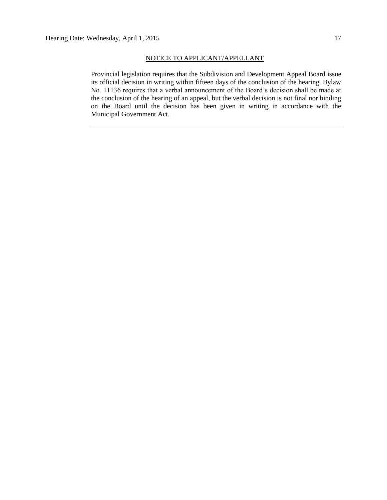#### NOTICE TO APPLICANT/APPELLANT

Provincial legislation requires that the Subdivision and Development Appeal Board issue its official decision in writing within fifteen days of the conclusion of the hearing. Bylaw No. 11136 requires that a verbal announcement of the Board's decision shall be made at the conclusion of the hearing of an appeal, but the verbal decision is not final nor binding on the Board until the decision has been given in writing in accordance with the Municipal Government Act.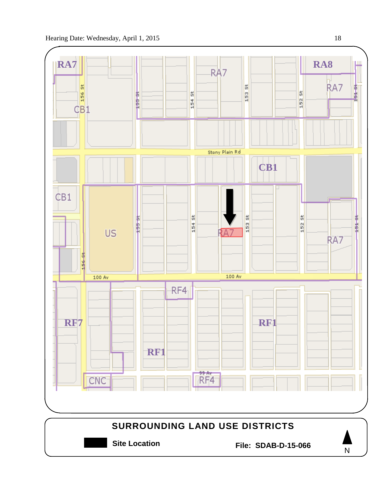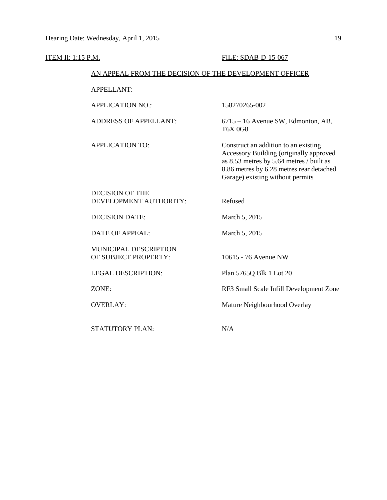| <b>ITEM II: 1:15 P.M.</b> |                                                        | FILE: SDAB-D-15-067                                                                                                                                                                                         |
|---------------------------|--------------------------------------------------------|-------------------------------------------------------------------------------------------------------------------------------------------------------------------------------------------------------------|
|                           | AN APPEAL FROM THE DECISION OF THE DEVELOPMENT OFFICER |                                                                                                                                                                                                             |
|                           | <b>APPELLANT:</b>                                      |                                                                                                                                                                                                             |
|                           | <b>APPLICATION NO.:</b>                                | 158270265-002                                                                                                                                                                                               |
|                           | <b>ADDRESS OF APPELLANT:</b>                           | 6715 - 16 Avenue SW, Edmonton, AB,<br><b>T6X 0G8</b>                                                                                                                                                        |
|                           | <b>APPLICATION TO:</b>                                 | Construct an addition to an existing<br>Accessory Building (originally approved<br>as 8.53 metres by 5.64 metres / built as<br>8.86 metres by 6.28 metres rear detached<br>Garage) existing without permits |
|                           | <b>DECISION OF THE</b><br>DEVELOPMENT AUTHORITY:       | Refused                                                                                                                                                                                                     |
|                           | <b>DECISION DATE:</b>                                  | March 5, 2015                                                                                                                                                                                               |
|                           | <b>DATE OF APPEAL:</b>                                 | March 5, 2015                                                                                                                                                                                               |
|                           | MUNICIPAL DESCRIPTION<br>OF SUBJECT PROPERTY:          | 10615 - 76 Avenue NW                                                                                                                                                                                        |
|                           | <b>LEGAL DESCRIPTION:</b>                              | Plan 5765Q Blk 1 Lot 20                                                                                                                                                                                     |
|                           | ZONE:                                                  | RF3 Small Scale Infill Development Zone                                                                                                                                                                     |
|                           | <b>OVERLAY:</b>                                        | Mature Neighbourhood Overlay                                                                                                                                                                                |
|                           | STATUTORY PLAN:                                        | N/A                                                                                                                                                                                                         |
|                           |                                                        |                                                                                                                                                                                                             |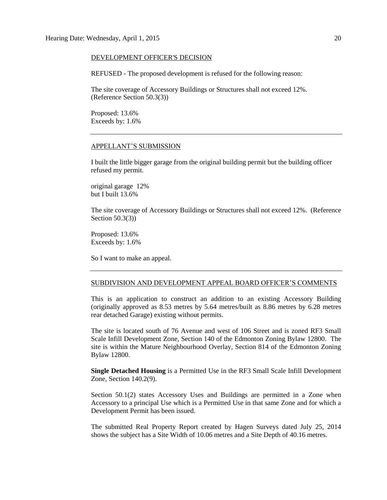#### DEVELOPMENT OFFICER'S DECISION

REFUSED - The proposed development is refused for the following reason:

The site coverage of Accessory Buildings or Structures shall not exceed 12%. (Reference Section 50.3(3))

Proposed: 13.6% Exceeds by: 1.6%

#### APPELLANT'S SUBMISSION

I built the little bigger garage from the original building permit but the building officer refused my permit.

original garage 12% but I built 13.6%

The site coverage of Accessory Buildings or Structures shall not exceed 12%. (Reference Section 50.3(3))

Proposed: 13.6% Exceeds by: 1.6%

So I want to make an appeal.

#### SUBDIVISION AND DEVELOPMENT APPEAL BOARD OFFICER'S COMMENTS

This is an application to construct an addition to an existing Accessory Building (originally approved as 8.53 metres by 5.64 metres/built as 8.86 metres by 6.28 metres rear detached Garage) existing without permits.

The site is located south of 76 Avenue and west of 106 Street and is zoned RF3 Small Scale Infill Development Zone, Section 140 of the Edmonton Zoning Bylaw 12800. The site is within the Mature Neighbourhood Overlay, Section 814 of the Edmonton Zoning Bylaw 12800.

**Single Detached Housing** is a Permitted Use in the RF3 Small Scale Infill Development Zone, Section 140.2(9).

Section 50.1(2) states Accessory Uses and Buildings are permitted in a Zone when Accessory to a principal Use which is a Permitted Use in that same Zone and for which a Development Permit has been issued.

The submitted Real Property Report created by Hagen Surveys dated July 25, 2014 shows the subject has a Site Width of 10.06 metres and a Site Depth of 40.16 metres.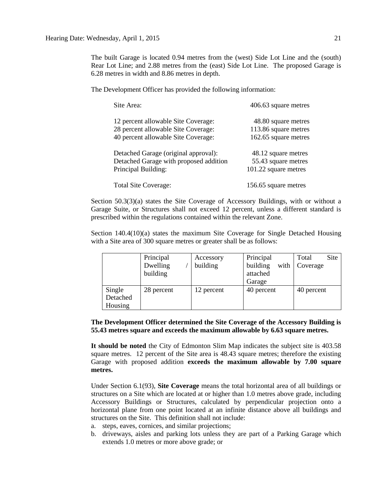The built Garage is located 0.94 metres from the (west) Side Lot Line and the (south) Rear Lot Line; and 2.88 metres from the (east) Side Lot Line. The proposed Garage is 6.28 metres in width and 8.86 metres in depth.

The Development Officer has provided the following information:

| Site Area:                             | 406.63 square metres |
|----------------------------------------|----------------------|
| 12 percent allowable Site Coverage:    | 48.80 square metres  |
| 28 percent allowable Site Coverage:    | 113.86 square metres |
| 40 percent allowable Site Coverage:    | 162.65 square metres |
| Detached Garage (original approval):   | 48.12 square metres  |
| Detached Garage with proposed addition | 55.43 square metres  |
| Principal Building:                    | 101.22 square metres |
| Total Site Coverage:                   | 156.65 square metres |

Section 50.3(3)(a) states the Site Coverage of Accessory Buildings, with or without a Garage Suite, or Structures shall not exceed 12 percent, unless a different standard is prescribed within the regulations contained within the relevant Zone.

Section 140.4(10)(a) states the maximum Site Coverage for Single Detached Housing with a Site area of 300 square metres or greater shall be as follows:

|          | Principal  | Accessory  | Principal  | Site<br>Total |
|----------|------------|------------|------------|---------------|
|          | Dwelling   | building   | building   | with Coverage |
|          | building   |            | attached   |               |
|          |            |            | Garage     |               |
| Single   | 28 percent | 12 percent | 40 percent | 40 percent    |
| Detached |            |            |            |               |
| Housing  |            |            |            |               |

#### **The Development Officer determined the Site Coverage of the Accessory Building is 55.43 metres square and exceeds the maximum allowable by 6.63 square metres.**

**It should be noted** the City of Edmonton Slim Map indicates the subject site is 403.58 square metres. 12 percent of the Site area is 48.43 square metres; therefore the existing Garage with proposed addition **exceeds the maximum allowable by 7.00 square metres.**

Under Section 6.1(93), **Site Coverage** means the total horizontal area of all buildings or structures on a Site which are located at or higher than 1.0 metres above grade, including Accessory Buildings or Structures, calculated by perpendicular projection onto a horizontal plane from one point located at an infinite distance above all buildings and structures on the Site. This definition shall not include:

- a. steps, eaves, cornices, and similar projections;
- b. driveways, aisles and parking lots unless they are part of a Parking Garage which extends 1.0 metres or more above grade; or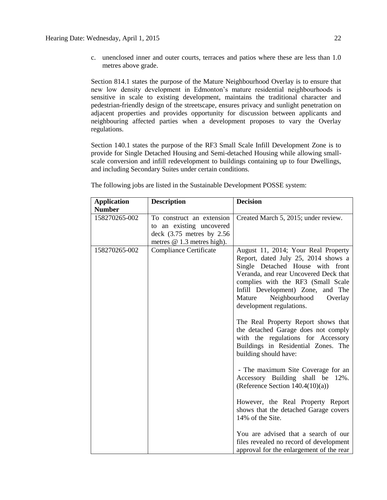c. unenclosed inner and outer courts, terraces and patios where these are less than 1.0 metres above grade.

Section 814.1 states the purpose of the Mature Neighbourhood Overlay is to ensure that new low density development in Edmonton's mature residential neighbourhoods is sensitive in scale to existing development, maintains the traditional character and pedestrian-friendly design of the streetscape, ensures privacy and sunlight penetration on adjacent properties and provides opportunity for discussion between applicants and neighbouring affected parties when a development proposes to vary the Overlay regulations.

Section 140.1 states the purpose of the RF3 Small Scale Infill Development Zone is to provide for Single Detached Housing and Semi-detached Housing while allowing smallscale conversion and infill redevelopment to buildings containing up to four Dwellings, and including Secondary Suites under certain conditions.

| <b>Application</b><br><b>Number</b> | <b>Description</b>                                                                                                    | <b>Decision</b>                                                                                                                                                                                                                                                                                                                                                                                                                                                                                                                                                                                                                                                                                                                                                                                                                            |
|-------------------------------------|-----------------------------------------------------------------------------------------------------------------------|--------------------------------------------------------------------------------------------------------------------------------------------------------------------------------------------------------------------------------------------------------------------------------------------------------------------------------------------------------------------------------------------------------------------------------------------------------------------------------------------------------------------------------------------------------------------------------------------------------------------------------------------------------------------------------------------------------------------------------------------------------------------------------------------------------------------------------------------|
| 158270265-002                       | To construct an extension<br>to an existing uncovered<br>deck $(3.75$ metres by $2.56$<br>metres $@1.3$ metres high). | Created March 5, 2015; under review.                                                                                                                                                                                                                                                                                                                                                                                                                                                                                                                                                                                                                                                                                                                                                                                                       |
| 158270265-002                       | <b>Compliance Certificate</b>                                                                                         | August 11, 2014; Your Real Property<br>Report, dated July 25, 2014 shows a<br>Single Detached House with front<br>Veranda, and rear Uncovered Deck that<br>complies with the RF3 (Small Scale<br>Infill Development) Zone, and The<br>Mature<br>Neighbourhood<br>Overlay<br>development regulations.<br>The Real Property Report shows that<br>the detached Garage does not comply<br>with the regulations for Accessory<br>Buildings in Residential Zones. The<br>building should have:<br>- The maximum Site Coverage for an<br>Accessory Building shall be 12%.<br>(Reference Section $140.4(10)(a)$ )<br>However, the Real Property Report<br>shows that the detached Garage covers<br>14% of the Site.<br>You are advised that a search of our<br>files revealed no record of development<br>approval for the enlargement of the rear |

The following jobs are listed in the Sustainable Development POSSE system: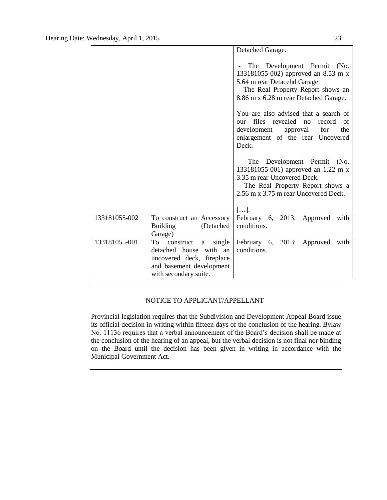|               |                                                                                                                                               | Detached Garage.                                                                                                                                                                   |
|---------------|-----------------------------------------------------------------------------------------------------------------------------------------------|------------------------------------------------------------------------------------------------------------------------------------------------------------------------------------|
|               |                                                                                                                                               | The Development Permit (No.<br>133181055-002) approved an 8.53 m x<br>5.64 m rear Detacehd Garage.<br>- The Real Property Report shows an<br>8.86 m x 6.28 m rear Detached Garage. |
|               |                                                                                                                                               | You are also advised that a search of<br>files<br>revealed<br>record<br>of<br>no<br>our<br>development approval for<br>the<br>enlargement of the rear Uncovered<br>Deck.           |
|               |                                                                                                                                               | The Development Permit (No.<br>133181055-001) approved an 1.22 m x<br>3.35 m rear Uncovered Deck.<br>- The Real Property Report shows a<br>2.56 m x 3.75 m rear Uncovered Deck.    |
| 133181055-002 | To construct an Accessory<br>Building<br>(Detached)<br>Garage)                                                                                | $\vert \ldots \vert.$<br>February 6, 2013; Approved<br>with<br>conditions.                                                                                                         |
| 133181055-001 | To<br>single<br>construct<br>a<br>detached house<br>with an<br>uncovered deck, fireplace<br>and basement development<br>with secondary suite. | February 6, 2013; Approved with<br>conditions.                                                                                                                                     |

## NOTICE TO APPLICANT/APPELLANT

Provincial legislation requires that the Subdivision and Development Appeal Board issue its official decision in writing within fifteen days of the conclusion of the hearing. Bylaw No. 11136 requires that a verbal announcement of the Board's decision shall be made at the conclusion of the hearing of an appeal, but the verbal decision is not final nor binding on the Board until the decision has been given in writing in accordance with the Municipal Government Act.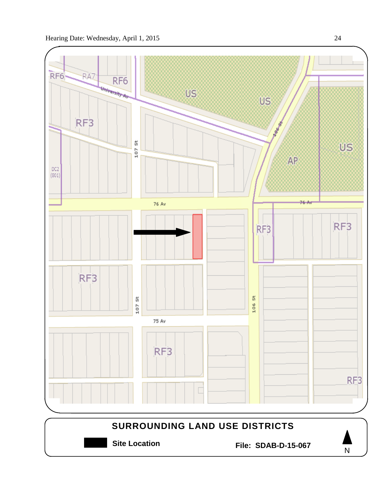

**Site Location File: SDAB-D-15-067**